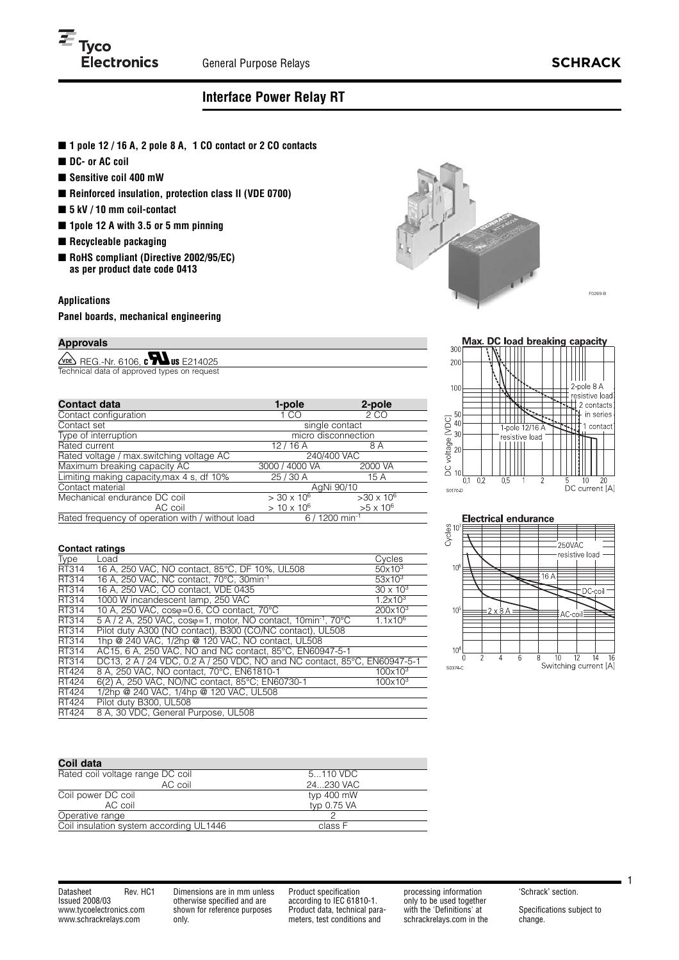# **Interface Power Relay RT**

- **1** pole **12** / **16** A, 2 pole 8 A, **1 CO** contact or 2 CO contacts
- DC- or AC coil
- **Sensitive coil 400 mW**
- **Reinforced insulation, protection class II (VDE 0700)**
- **5 kV / 10 mm coil-contact**
- 1pole 12 A with 3.5 or 5 mm pinning
- **Recycleable packaging**
- **RoHS compliant (Directive 2002/95/EC) as per product date code 0413**

## **Applications**

**Panel boards, mechanical engineering**

# **Approvals**

 $\sqrt{\text{PE}}$  REG.-Nr. 6106,  $\text{C}$  and  $\text{US}$  E214025 Technical data of approved types on reques

| <b>Contact data</b>                                                            | 1-pole              | 2-pole            |  |
|--------------------------------------------------------------------------------|---------------------|-------------------|--|
| Contact configuration                                                          | 1 CO                | 2 CO              |  |
| Contact set                                                                    | single contact      |                   |  |
| Type of interruption                                                           | micro disconnection |                   |  |
| Rated current                                                                  | 12/16A              | 8 A               |  |
| Rated voltage / max.switching voltage AC                                       | 240/400 VAC         |                   |  |
| Maximum breaking capacity AC                                                   | 3000 / 4000 VA      | 2000 VA           |  |
| Limiting making capacity, max 4 s, df 10%                                      | 25/30 A             | 15 A              |  |
| Contact material                                                               | AgNi 90/10          |                   |  |
| Mechanical endurance DC coil                                                   | $> 30 \times 10^6$  | $>30 \times 10^6$ |  |
| AC coil                                                                        | $> 10 \times 10^6$  | $>5 \times 10^6$  |  |
| Rated frequency of operation with / without load<br>$6/1200$ min <sup>-1</sup> |                     |                   |  |

### **Contact ratings**

| <b>Type</b> | Load                                                                         | Cycles              |
|-------------|------------------------------------------------------------------------------|---------------------|
| RT314       | 16 A, 250 VAC, NO contact, 85°C, DF 10%, UL508                               | $50x10^3$           |
| RT314       | 16 A. 250 VAC. NC contact. 70°C. 30min <sup>-1</sup>                         | $53\times10^3$      |
| RT314       | 16 A. 250 VAC. CO contact. VDE 0435                                          | $30 \times 10^{3}$  |
| RT314       | 1000 W incandescent lamp, 250 VAC                                            | $1.2 \times 10^{3}$ |
| RT314       | 10 A, 250 VAC, coso=0.6, CO contact, 70°C                                    | $200x10^3$          |
| RT314       | $5$ A / 2 A, 250 VAC, coso=1, motor, NO contact, 10min <sup>-1</sup> , 70 °C | $1.1 \times 10^{6}$ |
| RT314       | Pilot duty A300 (NO contact), B300 (CO/NC contact), UL508                    |                     |
| RT314       | 1hp @ 240 VAC, 1/2hp @ 120 VAC, NO contact, UL508                            |                     |
| RT314       | AC15, 6 A, 250 VAC, NO and NC contact, 85°C, EN60947-5-1                     |                     |
| RT314       | DC13, 2 A / 24 VDC, 0.2 A / 250 VDC, NO and NC contact, 85°C, EN60947-5-1    |                     |
| RT424       | 8 A, 250 VAC, NO contact, 70°C, EN61810-1                                    | $100x10^3$          |
| RT424       | 6(2) A, 250 VAC, NO/NC contact, 85°C; EN60730-1                              | $100x10^3$          |
| RT424       | 1/2hp @ 240 VAC, 1/4hp @ 120 VAC, UL508                                      |                     |
| RT424       | Pilot duty B300, UL508                                                       |                     |
| RT424       | 8 A, 30 VDC, General Purpose, UL508                                          |                     |

| Coil data                               |             |
|-----------------------------------------|-------------|
| Rated coil voltage range DC coil        | 5110 VDC    |
| AC coil                                 | 24230 VAC   |
| Coil power DC coil                      | typ 400 mW  |
| AC coil                                 | typ 0.75 VA |
| Operative range                         |             |
| Coil insulation system according UL1446 | class F     |

Datasheet Rev. HC1 Issued 2008/03 www.tycoelectronics.com www.schrackrelays.com

Dimensions are in mm unless otherwise specified and are shown for reference purposes only.

Product specification according to IEC 61810-1. Product data, technical parameters, test conditions and

processing information only to be used together with the 'Definitions' at schrackrelays.com in the 'Schrack' section.

Specifications subject to change.

1





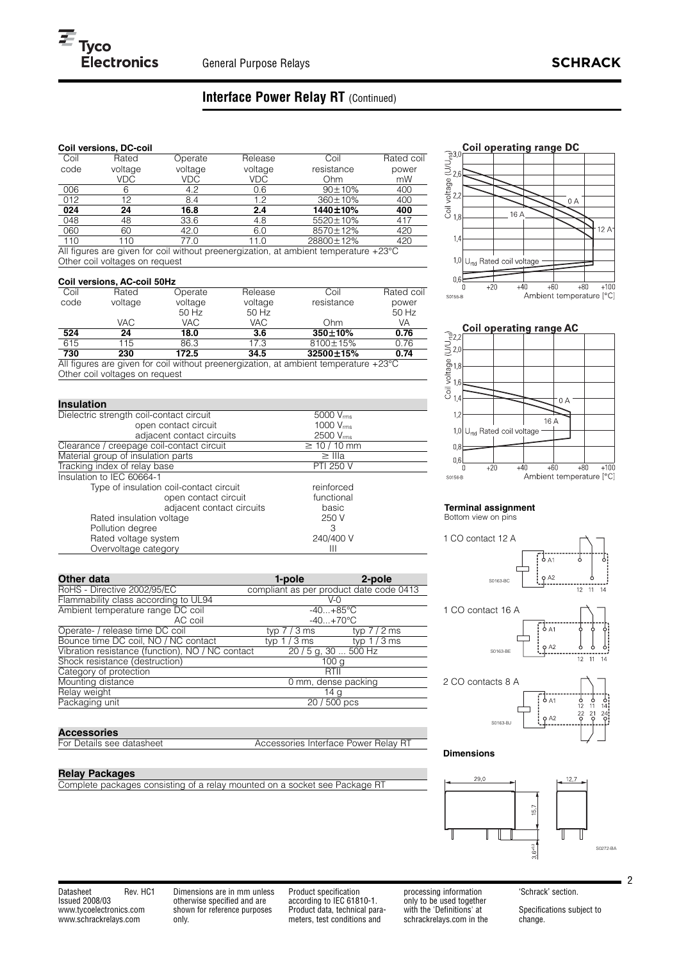# **Interface Power Relay RT** (Continued)

# **Coil versions, DC-coil**

| Coil | Rated   | Operate | Release | Coil                                                                                          | Rated coil |
|------|---------|---------|---------|-----------------------------------------------------------------------------------------------|------------|
| code | voltage | voltage | voltage | resistance                                                                                    | power      |
|      | VDC.    | VDC.    | VDC.    | Ohm                                                                                           | mW         |
| 006  | 6       | 4.2     | 0.6     | $90 \pm 10\%$                                                                                 | 400        |
| 012  | 12      | 8.4     | 1.2     | 360±10%                                                                                       | 400        |
| 024  | 24      | 16.8    | 2.4     | 1440±10%                                                                                      | 400        |
| 048  | 48      | 33.6    | 4.8     | 5520±10%                                                                                      | 417        |
| 060  | 60      | 42.0    | 6.0     | 8570±12%                                                                                      | 420        |
| 110  | 110     | 77.0    | 11.0    | 28800±12%                                                                                     | 420        |
|      |         |         |         | All figures are given for coil without preepergization at ambient temperature $+23^{\circ}$ C |            |

All figures are given for coil without preenergization, at ambient temperature +23°C Other coil voltages on request

## **Coil versions, AC-coil 50Hz**

|      | <b>OUTLINGTOROLOGY OUTLING</b> |         |         |                                                                                      |            |
|------|--------------------------------|---------|---------|--------------------------------------------------------------------------------------|------------|
| Coil | Rated                          | Operate | Release | Coil                                                                                 | Rated coil |
| code | voltage                        | voltage | voltage | resistance                                                                           | power      |
|      |                                | 50 Hz   | $50$ Hz |                                                                                      | 50 Hz      |
|      | VAC.                           | VAC     | VAC     | Ohm                                                                                  | VA         |
| 524  | 24                             | 18.0    | 3.6     | $350 \pm 10\%$                                                                       | 0.76       |
| 615  | 115                            | 86.3    | 17.3    | 8100±15%                                                                             | 0.76       |
| 730  | 230                            | 172.5   | 34.5    | 32500±15%                                                                            | 0.74       |
|      |                                |         |         | All figures are given for coil without preepergization at ambient temperature 123 °C |            |

given for coil without preenergization, at ambient temperature  $+23^{\circ}$ C Other coil voltages on request

| <b>Insulation</b>                         |                       |
|-------------------------------------------|-----------------------|
| Dielectric strength coil-contact circuit  | 5000 V <sub>rms</sub> |
| open contact circuit                      | 1000 V <sub>rms</sub> |
| adjacent contact circuits                 | 2500 Vrms             |
| Clearance / creepage coil-contact circuit | $\geq 10 / 10$ mm     |
| Material group of insulation parts        | $\geq$ IIIa           |
| Tracking index of relay base              | <b>PTI 250 V</b>      |
| Insulation to IEC 60664-1                 |                       |
| Type of insulation coil-contact circuit   | reinforced            |
| open contact circuit                      | functional            |
| adjacent contact circuits                 | basic                 |
| Rated insulation voltage                  | 250 V                 |
| Pollution degree                          | З                     |
| Rated voltage system                      | 240/400 V             |
| Overvoltage category                      | Ш                     |

| Other data                                       | 1-pole                                  | 2-pole       |
|--------------------------------------------------|-----------------------------------------|--------------|
| RoHS - Directive 2002/95/EC                      | compliant as per product date code 0413 |              |
| Flammability class according to UL94             |                                         | V-0          |
| Ambient temperature range DC coil                | $-40+85$ °C                             |              |
| AC coil                                          | $-40+70$ °C                             |              |
| Operate- / release time DC coil                  | typ 7 / 3 ms                            | typ $7/2$ ms |
| Bounce time DC coil, NO / NC contact             | typ $1/3$ ms                            | typ $1/3$ ms |
| Vibration resistance (function), NO / NC contact | 20 / 5 g, 30  500 Hz                    |              |
| Shock resistance (destruction)                   | 100 <sub>g</sub>                        |              |
| Category of protection                           | RTII                                    |              |
| Mounting distance                                | 0 mm, dense packing                     |              |
| Relay weight                                     |                                         | 14 g         |
| Packaging unit                                   | 20 / 500 pcs                            |              |

**Accessories**<br>For Details see datasheet

Accessories Interface Power Relay RT

### **Relay Packages**

Complete packages consisting of a relay mounted on a socket see Package RT





### **Terminal assignment** Bottom view on pins



### **Dimensions**



Datasheet Rev. HC1 Issued 2008/03 www.tycoelectronics.com www.schrackrelays.com

Dimensions are in mm unless otherwise specified and are shown for reference purposes only.

Product specification according to IEC 61810-1. Product data, technical parameters, test conditions and

processing information only to be used together with the 'Definitions' at schrackrelays.com in the 'Schrack' section.

Specifications subject to change.

2